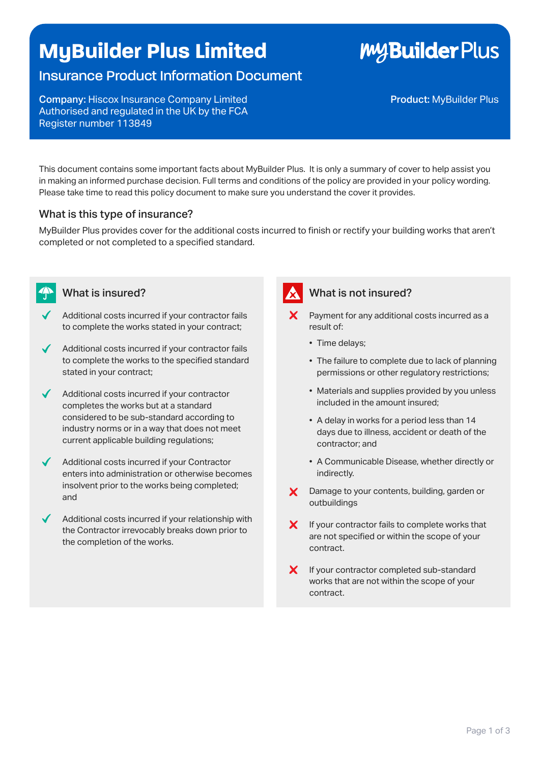## **MyBuilder Plus Limited**

### Insurance Product Information Document

Company: Hiscox Insurance Company Limited Authorised and regulated in the UK by the FCA Register number 113849

This document contains some important facts about MyBuilder Plus. It is only a summary of cover to help assist you in making an informed purchase decision. Full terms and conditions of the policy are provided in your policy wording. Please take time to read this policy document to make sure you understand the cover it provides.

### What is this type of insurance?

MyBuilder Plus provides cover for the additional costs incurred to finish or rectify your building works that aren't completed or not completed to a specified standard.



- Additional costs incurred if your contractor fails to complete the works stated in your contract;
- Additional costs incurred if your contractor fails to complete the works to the specified standard stated in your contract;
- Additional costs incurred if your contractor completes the works but at a standard considered to be sub-standard according to industry norms or in a way that does not meet current applicable building regulations;
- Additional costs incurred if your Contractor enters into administration or otherwise becomes insolvent prior to the works being completed; and
- Additional costs incurred if your relationship with the Contractor irrevocably breaks down prior to the completion of the works.

### What is insured? What is not insured?

- $\mathsf{\times}$  Payment for any additional costs incurred as a result of:
	- Time delays;
	- The failure to complete due to lack of planning permissions or other regulatory restrictions;
	- Materials and supplies provided by you unless included in the amount insured;
	- A delay in works for a period less than 14 days due to illness, accident or death of the contractor; and
	- A Communicable Disease, whether directly or indirectly.
- X Damage to your contents, building, garden or outbuildings
- $\boldsymbol{X}$  If your contractor fails to complete works that are not specified or within the scope of your contract.
- X If your contractor completed sub-standard works that are not within the scope of your contract.

**MyBuilder Plus**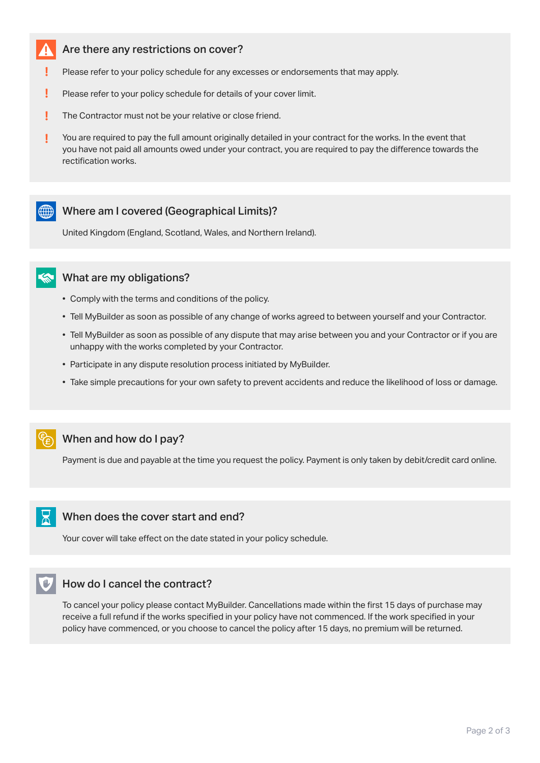#### Are there any restrictions on cover?

- Please refer to your policy schedule for any excesses or endorsements that may apply.
- l Please refer to your policy schedule for details of your cover limit.
- Į The Contractor must not be your relative or close friend.
- Į You are required to pay the full amount originally detailed in your contract for the works. In the event that you have not paid all amounts owed under your contract, you are required to pay the difference towards the rectification works.

#### ((()) Where am I covered (Geographical Limits)?

United Kingdom (England, Scotland, Wales, and Northern Ireland).



- Comply with the terms and conditions of the policy.
- Tell MyBuilder as soon as possible of any change of works agreed to between yourself and your Contractor.
- Tell MyBuilder as soon as possible of any dispute that may arise between you and your Contractor or if you are unhappy with the works completed by your Contractor.
- Participate in any dispute resolution process initiated by MyBuilder.
- Take simple precautions for your own safety to prevent accidents and reduce the likelihood of loss or damage.

#### When and how do I pay?

Payment is due and payable at the time you request the policy. Payment is only taken by debit/credit card online.

#### When does the cover start and end?

Your cover will take effect on the date stated in your policy schedule.

#### How do I cancel the contract?

To cancel your policy please contact MyBuilder. Cancellations made within the first 15 days of purchase may receive a full refund if the works specified in your policy have not commenced. If the work specified in your policy have commenced, or you choose to cancel the policy after 15 days, no premium will be returned.